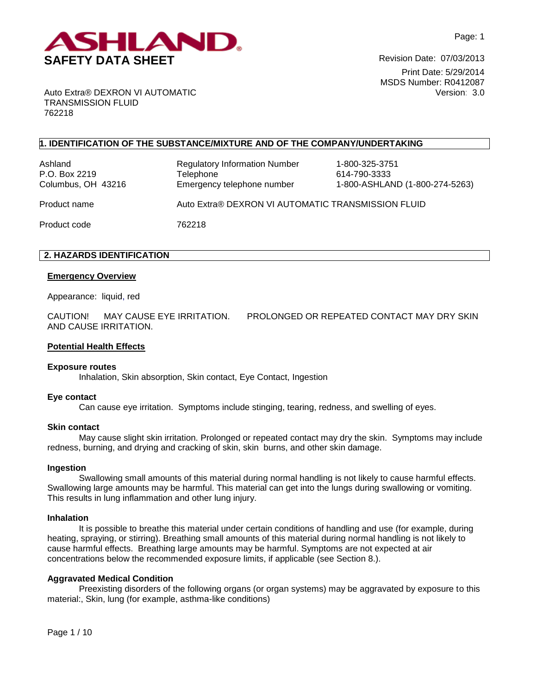

Print Date: 5/29/2014 MSDS Number: R0412087 Version: 3.0

Auto Extra® DEXRON VI AUTOMATIC TRANSMISSION FLUID 762218

# **1. IDENTIFICATION OF THE SUBSTANCE/MIXTURE AND OF THE COMPANY/UNDERTAKING**

Ashland Regulatory Information Number 1-800-325-3751 P.O. Box 2219 **Telephone** 614-790-3333 Columbus, OH 43216 Emergency telephone number 1-800-ASHLAND (1-800-274-5263) Product name Auto Extra® DEXRON VI AUTOMATIC TRANSMISSION FLUID Product code 762218

# **2. HAZARDS IDENTIFICATION**

### **Emergency Overview**

Appearance:liquid, red

CAUTION! MAY CAUSE EYE IRRITATION. PROLONGED OR REPEATED CONTACT MAY DRY SKIN AND CAUSE IRRITATION.

#### **Potential Health Effects**

#### **Exposure routes**

Inhalation, Skin absorption, Skin contact, Eye Contact, Ingestion

#### **Eye contact**

Can cause eye irritation. Symptoms include stinging, tearing, redness, and swelling of eyes.

#### **Skin contact**

May cause slight skin irritation. Prolonged or repeated contact may dry the skin. Symptoms may include redness, burning, and drying and cracking of skin, skin burns, and other skin damage.

#### **Ingestion**

Swallowing small amounts of this material during normal handling is not likely to cause harmful effects. Swallowing large amounts may be harmful. This material can get into the lungs during swallowing or vomiting. This results in lung inflammation and other lung injury.

#### **Inhalation**

It is possible to breathe this material under certain conditions of handling and use (for example, during heating, spraying, or stirring). Breathing small amounts of this material during normal handling is not likely to cause harmful effects. Breathing large amounts may be harmful. Symptoms are not expected at air concentrations below the recommended exposure limits, if applicable (see Section 8.).

#### **Aggravated Medical Condition**

Preexisting disorders of the following organs (or organ systems) may be aggravated by exposure to this material:, Skin, lung (for example, asthma-like conditions)

Page 1 / 10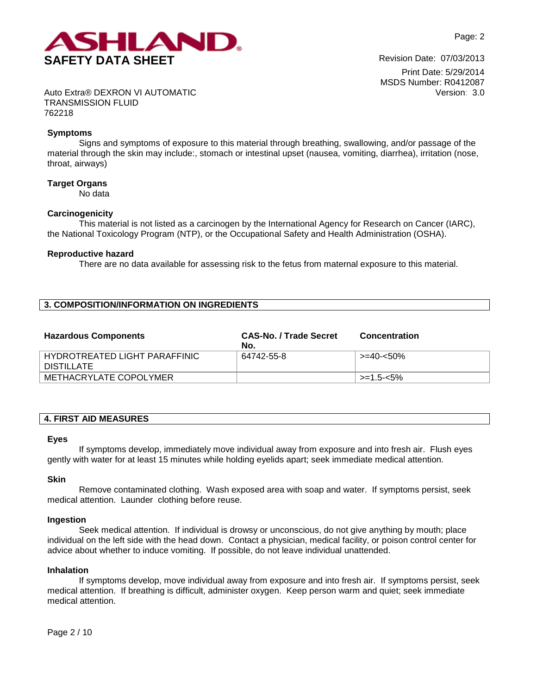

Print Date: 5/29/2014 MSDS Number: R0412087 Version: 3.0

Auto Extra® DEXRON VI AUTOMATIC TRANSMISSION FLUID 762218

# **Symptoms**

Signs and symptoms of exposure to this material through breathing, swallowing, and/or passage of the material through the skin may include:, stomach or intestinal upset (nausea, vomiting, diarrhea), irritation (nose, throat, airways)

## **Target Organs**

No data

# **Carcinogenicity**

This material is not listed as a carcinogen by the International Agency for Research on Cancer (IARC), the National Toxicology Program (NTP), or the Occupational Safety and Health Administration (OSHA).

## **Reproductive hazard**

There are no data available for assessing risk to the fetus from maternal exposure to this material.

# **3. COMPOSITION/INFORMATION ON INGREDIENTS**

| <b>Hazardous Components</b>                 | <b>CAS-No. / Trade Secret</b><br>No. | <b>Concentration</b> |
|---------------------------------------------|--------------------------------------|----------------------|
| HYDROTREATED LIGHT PARAFFINIC<br>DISTILLATE | 64742-55-8                           | >=40-<50%            |
| METHACRYLATE COPOLYMER                      |                                      | $\ge$ =1.5-<5%       |

#### **4. FIRST AID MEASURES**

#### **Eyes**

If symptoms develop, immediately move individual away from exposure and into fresh air. Flush eyes gently with water for at least 15 minutes while holding eyelids apart; seek immediate medical attention.

## **Skin**

Remove contaminated clothing. Wash exposed area with soap and water. If symptoms persist, seek medical attention. Launder clothing before reuse.

## **Ingestion**

Seek medical attention. If individual is drowsy or unconscious, do not give anything by mouth; place individual on the left side with the head down. Contact a physician, medical facility, or poison control center for advice about whether to induce vomiting. If possible, do not leave individual unattended.

## **Inhalation**

If symptoms develop, move individual away from exposure and into fresh air. If symptoms persist, seek medical attention. If breathing is difficult, administer oxygen. Keep person warm and quiet; seek immediate medical attention.

Page 2 / 10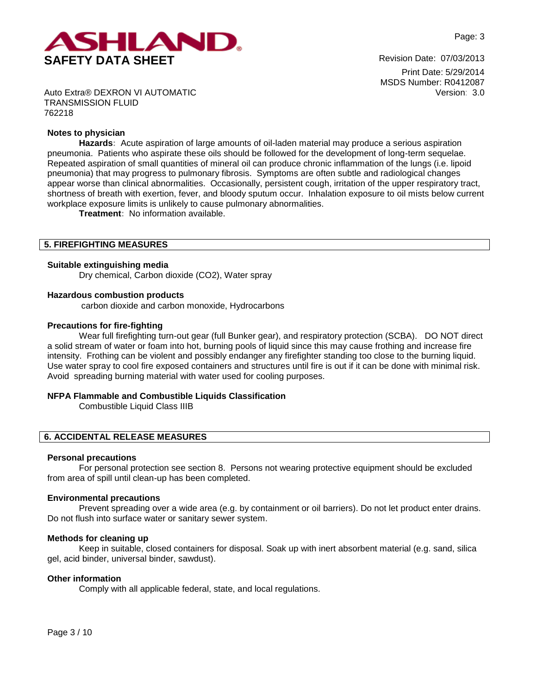

Print Date: 5/29/2014 MSDS Number: R0412087 Version: 3.0

Auto Extra® DEXRON VI AUTOMATIC TRANSMISSION FLUID 762218

## **Notes to physician**

**Hazards:** Acute aspiration of large amounts of oil-laden material may produce a serious aspiration pneumonia. Patients who aspirate these oils should be followed for the development of long-term sequelae. Repeated aspiration of small quantities of mineral oil can produce chronic inflammation of the lungs (i.e. lipoid pneumonia) that may progress to pulmonary fibrosis. Symptoms are often subtle and radiological changes appear worse than clinical abnormalities. Occasionally, persistent cough, irritation of the upper respiratory tract, shortness of breath with exertion, fever, and bloody sputum occur. Inhalation exposure to oil mists below current workplace exposure limits is unlikely to cause pulmonary abnormalities.

**Treatment:** No information available.

### **5. FIREFIGHTING MEASURES**

### **Suitable extinguishing media**

Dry chemical, Carbon dioxide (CO2), Water spray

### **Hazardous combustion products**

carbon dioxide and carbon monoxide, Hydrocarbons

### **Precautions for fire-fighting**

Wear full firefighting turn-out gear (full Bunker gear), and respiratory protection (SCBA). DO NOT direct a solid stream of water or foam into hot, burning pools of liquid since this may cause frothing and increase fire intensity. Frothing can be violent and possibly endanger any firefighter standing too close to the burning liquid. Use water spray to cool fire exposed containers and structures until fire is out if it can be done with minimal risk. Avoid spreading burning material with water used for cooling purposes.

## **NFPA Flammable and Combustible Liquids Classification**

Combustible Liquid Class IIIB

## **6. ACCIDENTAL RELEASE MEASURES**

### **Personal precautions**

For personal protection see section 8.Persons not wearing protective equipment should be excluded from area of spill until clean-up has been completed.

#### **Environmental precautions**

Prevent spreading over a wide area (e.g. by containment or oil barriers). Do not let product enter drains. Do not flush into surface water or sanitary sewer system.

#### **Methods for cleaning up**

Keep in suitable, closed containers for disposal. Soak up with inert absorbent material (e.g. sand, silica gel, acid binder, universal binder, sawdust).

# **Other information**

Comply with all applicable federal, state, and local regulations.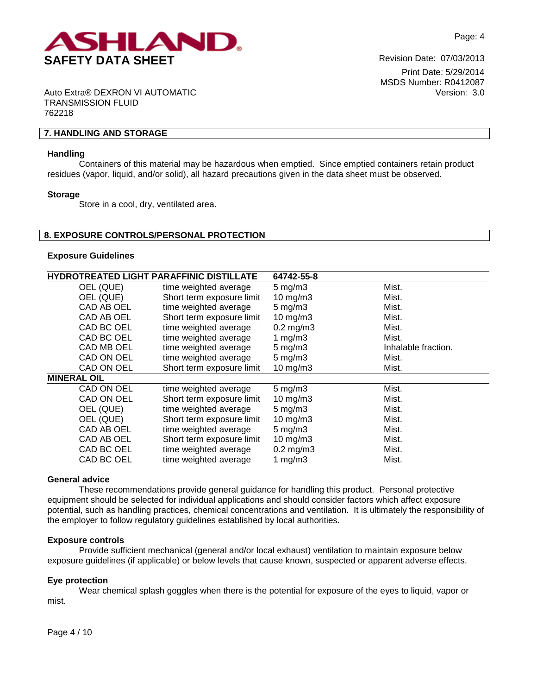

Print Date: 5/29/2014 MSDS Number: R0412087 Version: 3.0

Auto Extra® DEXRON VI AUTOMATIC TRANSMISSION FLUID 762218

# **7. HANDLING AND STORAGE**

#### **Handling**

Containers of this material may be hazardous when emptied. Since emptied containers retain product residues (vapor, liquid, and/or solid), all hazard precautions given in the data sheet must be observed.

#### **Storage**

Store in a cool, dry, ventilated area.

### **8. EXPOSURE CONTROLS/PERSONAL PROTECTION**

#### **Exposure Guidelines**

| <b>HYDROTREATED LIGHT PARAFFINIC DISTILLATE</b> |                           | 64742-55-8         |                     |
|-------------------------------------------------|---------------------------|--------------------|---------------------|
| OEL (QUE)                                       | time weighted average     | $5 \text{ mg/m}$ 3 | Mist.               |
| OEL (QUE)                                       | Short term exposure limit | $10$ mg/m $3$      | Mist.               |
| CAD AB OEL                                      | time weighted average     | $5 \text{ mg/m}$ 3 | Mist.               |
| CAD AB OEL                                      | Short term exposure limit | $10$ mg/m $3$      | Mist.               |
| CAD BC OEL                                      | time weighted average     | $0.2$ mg/m $3$     | Mist.               |
| CAD BC OEL                                      | time weighted average     | 1 $mg/m3$          | Mist.               |
| CAD MB OEL                                      | time weighted average     | $5 \text{ mg/m}$ 3 | Inhalable fraction. |
| CAD ON OEL                                      | time weighted average     | $5 \text{ mg/m}$ 3 | Mist.               |
| CAD ON OEL                                      | Short term exposure limit | 10 mg/m3           | Mist.               |
| <b>MINERAL OIL</b>                              |                           |                    |                     |
| CAD ON OEL                                      | time weighted average     | $5 \text{ mg/m}$ 3 | Mist.               |
| CAD ON OEL                                      | Short term exposure limit | $10$ mg/m $3$      | Mist.               |
| OEL (QUE)                                       | time weighted average     | $5 \text{ mg/m}$ 3 | Mist.               |
| OEL (QUE)                                       | Short term exposure limit | $10$ mg/m $3$      | Mist.               |
| CAD AB OEL                                      | time weighted average     | $5 \text{ mg/m}$ 3 | Mist.               |
| CAD AB OEL                                      | Short term exposure limit | 10 mg/m $3$        | Mist.               |
| CAD BC OEL                                      | time weighted average     | $0.2$ mg/m $3$     | Mist.               |
| CAD BC OEL                                      | time weighted average     | 1 $mg/m3$          | Mist.               |

#### **General advice**

These recommendations provide general guidance for handling this product. Personal protective equipment should be selected for individual applications and should consider factors which affect exposure potential, such as handling practices, chemical concentrations and ventilation. It is ultimately the responsibility of the employer to follow regulatory guidelines established by local authorities.

#### **Exposure controls**

Provide sufficient mechanical (general and/or local exhaust) ventilation to maintain exposure below exposure guidelines (if applicable) or below levels that cause known, suspected or apparent adverse effects.

#### **Eye protection**

Wear chemical splash goggles when there is the potential for exposure of the eyes to liquid, vapor or mist.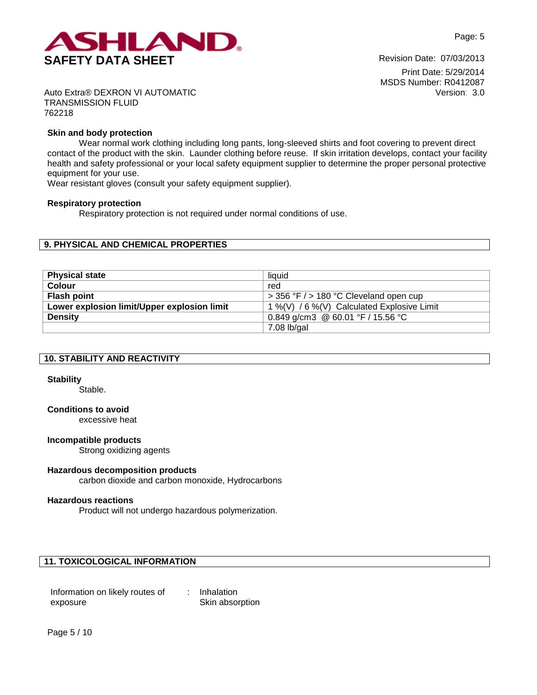

Print Date: 5/29/2014 MSDS Number: R0412087 Version: 3.0

Auto Extra® DEXRON VI AUTOMATIC TRANSMISSION FLUID 762218

### **Skin and body protection**

Wear normal work clothing including long pants, long-sleeved shirts and foot covering to prevent direct contact of the product with the skin. Launder clothing before reuse. If skin irritation develops, contact your facility health and safety professional or your local safety equipment supplier to determine the proper personal protective equipment for your use.

Wear resistant gloves (consult your safety equipment supplier).

#### **Respiratory protection**

Respiratory protection is not required under normal conditions of use.

### **9. PHYSICAL AND CHEMICAL PROPERTIES**

| <b>Physical state</b>                       | liauid                                     |
|---------------------------------------------|--------------------------------------------|
| <b>Colour</b>                               | red                                        |
| <b>Flash point</b>                          | $>$ 356 °F $/$ > 180 °C Cleveland open cup |
| Lower explosion limit/Upper explosion limit | 1 %(V) / 6 %(V) Calculated Explosive Limit |
| <b>Density</b>                              | 0.849 g/cm3 @ 60.01 °F / 15.56 °C          |
|                                             | $7.08$ lb/gal                              |

|  |  |  |  | <b>10. STABILITY AND REACTIVITY</b> |
|--|--|--|--|-------------------------------------|
|--|--|--|--|-------------------------------------|

#### **Stability**

Stable.

# **Conditions to avoid**

excessive heat

#### **Incompatible products**

Strong oxidizing agents

#### **Hazardous decomposition products**

carbon dioxide and carbon monoxide, Hydrocarbons

#### **Hazardous reactions**

Product will not undergo hazardous polymerization.

# **11. TOXICOLOGICAL INFORMATION**

| Information on likely routes of | Inhalation      |
|---------------------------------|-----------------|
| exposure                        | Skin absorption |

Page 5 / 10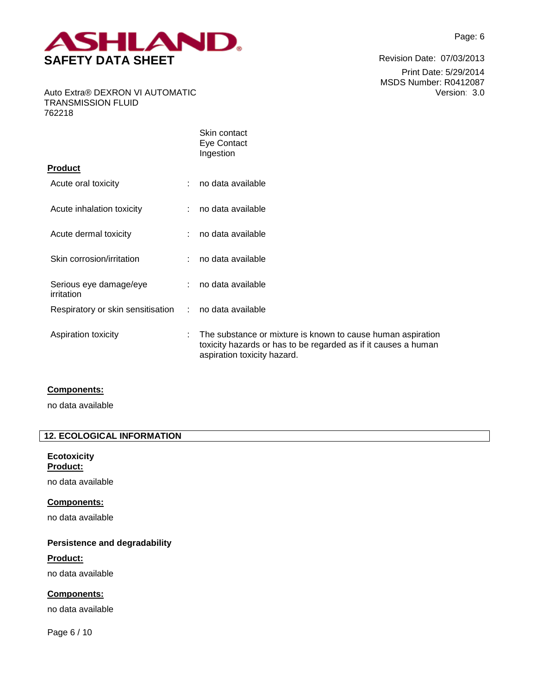

Print Date: 5/29/2014 MSDS Number: R0412087 Version: 3.0

Auto Extra® DEXRON VI AUTOMATIC TRANSMISSION FLUID 762218

|                                      |                           | Skin contact<br>Eye Contact<br>Ingestion                                                                                                                     |
|--------------------------------------|---------------------------|--------------------------------------------------------------------------------------------------------------------------------------------------------------|
| Product                              |                           |                                                                                                                                                              |
| Acute oral toxicity                  |                           | no data available                                                                                                                                            |
| Acute inhalation toxicity            |                           | no data available                                                                                                                                            |
| Acute dermal toxicity                | ÷                         | no data available                                                                                                                                            |
| Skin corrosion/irritation            |                           | no data available                                                                                                                                            |
| Serious eye damage/eye<br>irritation |                           | no data available                                                                                                                                            |
| Respiratory or skin sensitisation    | $\mathbb{R}^{\mathbb{Z}}$ | no data available                                                                                                                                            |
| Aspiration toxicity                  | ÷                         | The substance or mixture is known to cause human aspiration<br>toxicity hazards or has to be regarded as if it causes a human<br>aspiration toxicity hazard. |

## **Components:**

no data available

# **12. ECOLOGICAL INFORMATION**

# **Ecotoxicity Product:**

no data available

# **Components:**

no data available

# **Persistence and degradability**

## **Product:**

no data available

# **Components:**

no data available

Page 6 / 10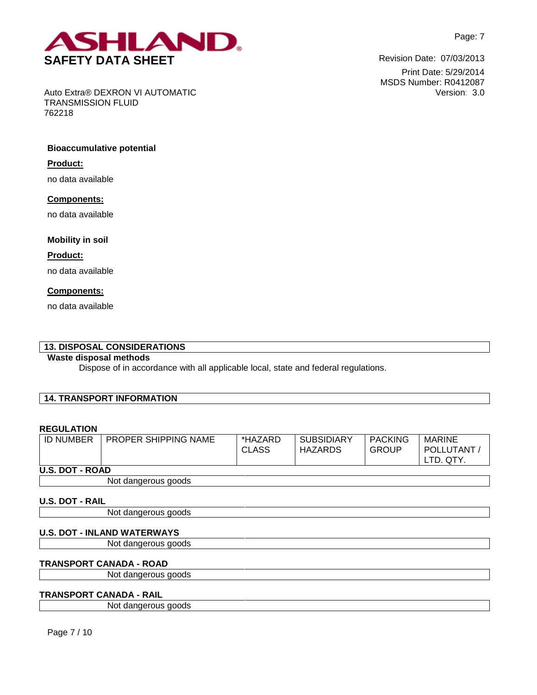

Print Date: 5/29/2014 MSDS Number: R0412087 Version: 3.0

Auto Extra® DEXRON VI AUTOMATIC TRANSMISSION FLUID 762218

# **Bioaccumulative potential**

### **Product:**

no data available

### **Components:**

no data available

## **Mobility in soil**

## **Product:**

no data available

## **Components:**

no data available

# **13. DISPOSAL CONSIDERATIONS**

# **Waste disposal methods**

Dispose of in accordance with all applicable local, state and federal regulations.

# **14. TRANSPORT INFORMATION**

# **REGULATION**

| <b>ID NUMBER</b>       | <b>PROPER SHIPPING NAME</b> | *HAZARD<br><b>CLASS</b> | <b>SUBSIDIARY</b><br>HAZARDS | <b>PACKING</b><br><b>GROUP</b> | <b>MARINE</b><br>POLLUTANT<br>TD. QTY. |
|------------------------|-----------------------------|-------------------------|------------------------------|--------------------------------|----------------------------------------|
| <b>U.S. DOT - ROAD</b> |                             |                         |                              |                                |                                        |

Not dangerous goods

## **U.S. DOT - RAIL**

Not dangerous goods

## **U.S. DOT - INLAND WATERWAYS**

Not dangerous goods

#### **TRANSPORT CANADA - ROAD**

Not dangerous goods

## **TRANSPORT CANADA - RAIL**

Not dangerous goods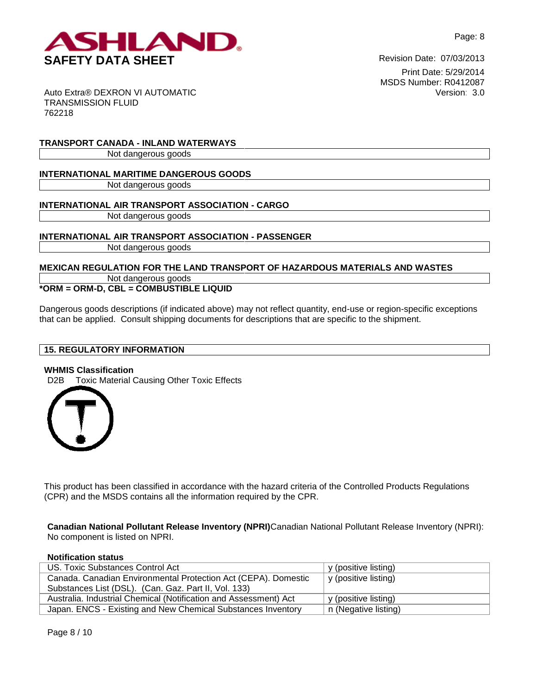

Print Date: 5/29/2014 MSDS Number: R0412087 Version: 3.0

Auto Extra® DEXRON VI AUTOMATIC TRANSMISSION FLUID 762218

**TRANSPORT CANADA - INLAND WATERWAYS**

Not dangerous goods

# **INTERNATIONAL MARITIME DANGEROUS GOODS**

Not dangerous goods

# **INTERNATIONAL AIR TRANSPORT ASSOCIATION - CARGO**

Not dangerous goods

# **INTERNATIONAL AIR TRANSPORT ASSOCIATION - PASSENGER**

Not dangerous goods

# **MEXICAN REGULATION FOR THE LAND TRANSPORT OF HAZARDOUS MATERIALS AND WASTES**

Not dangerous goods

**\*ORM = ORM-D, CBL = COMBUSTIBLE LIQUID**

Dangerous goods descriptions (if indicated above) may not reflect quantity, end-use or region-specific exceptions that can be applied. Consult shipping documents for descriptions that are specific to the shipment.

# **15. REGULATORY INFORMATION**

## **WHMIS Classification**

D2B Toxic Material Causing Other Toxic Effects



This product has been classified in accordance with the hazard criteria of the Controlled Products Regulations (CPR) and the MSDS contains all the information required by the CPR.

**Canadian National Pollutant Release Inventory (NPRI)**Canadian National Pollutant Release Inventory (NPRI): No component is listed on NPRI.

**Notification status**

| US. Toxic Substances Control Act                                 | y (positive listing) |
|------------------------------------------------------------------|----------------------|
| Canada. Canadian Environmental Protection Act (CEPA). Domestic   | y (positive listing) |
| Substances List (DSL). (Can. Gaz. Part II, Vol. 133)             |                      |
| Australia. Industrial Chemical (Notification and Assessment) Act | y (positive listing) |
| Japan. ENCS - Existing and New Chemical Substances Inventory     | n (Negative listing) |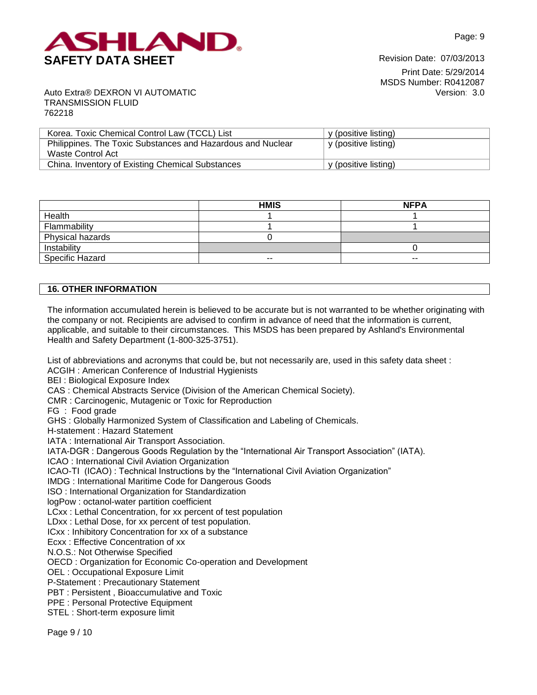

Print Date: 5/29/2014 MSDS Number: R0412087 Version: 3.0

Auto Extra® DEXRON VI AUTOMATIC TRANSMISSION FLUID 762218

| Korea. Toxic Chemical Control Law (TCCL) List               | y (positive listing) |
|-------------------------------------------------------------|----------------------|
|                                                             |                      |
| Philippines. The Toxic Substances and Hazardous and Nuclear | y (positive listing) |
| Waste Control Act                                           |                      |
| China. Inventory of Existing Chemical Substances            | y (positive listing) |

|                  | <b>HMIS</b> | <b>NFPA</b> |
|------------------|-------------|-------------|
| Health           |             |             |
| Flammability     |             |             |
| Physical hazards |             |             |
| Instability      |             |             |
| Specific Hazard  | $- -$       | $- -$       |

# **16. OTHER INFORMATION**

The information accumulated herein is believed to be accurate but is not warranted to be whether originating with the company or not. Recipients are advised to confirm in advance of need that the information is current, applicable, and suitable to their circumstances. This MSDS has been prepared by Ashland's Environmental Health and Safety Department (1-800-325-3751).

List of abbreviations and acronyms that could be, but not necessarily are, used in this safety data sheet : ACGIH : American Conference of Industrial Hygienists

BEI : Biological Exposure Index

CAS : Chemical Abstracts Service (Division of the American Chemical Society).

CMR : Carcinogenic, Mutagenic or Toxic for Reproduction

FG : Food grade

GHS : Globally Harmonized System of Classification and Labeling of Chemicals.

H-statement : Hazard Statement

IATA : International Air Transport Association.

IATA-DGR : Dangerous Goods Regulation by the "International Air Transport Association" (IATA).

ICAO : International Civil Aviation Organization

ICAO-TI (ICAO) : Technical Instructions by the "International Civil Aviation Organization"

IMDG : International Maritime Code for Dangerous Goods

ISO : International Organization for Standardization

logPow : octanol-water partition coefficient

LCxx : Lethal Concentration, for xx percent of test population

LDxx : Lethal Dose, for xx percent of test population.

ICxx : Inhibitory Concentration for xx of a substance

Ecxx : Effective Concentration of xx

N.O.S.: Not Otherwise Specified

OECD : Organization for Economic Co-operation and Development

OEL : Occupational Exposure Limit

P-Statement : Precautionary Statement

PBT : Persistent , Bioaccumulative and Toxic

PPE : Personal Protective Equipment

STEL : Short-term exposure limit

Page 9 / 10